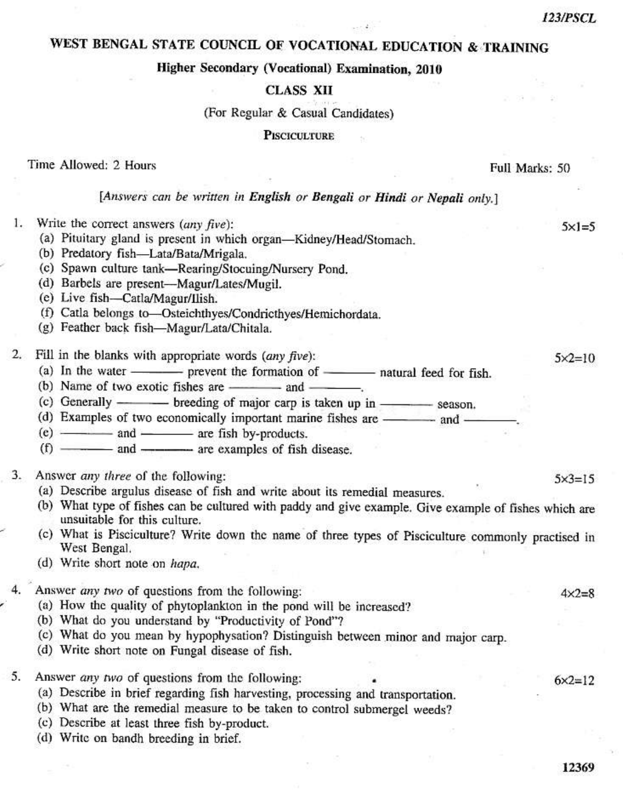$5 \times 1 = 5$ 

 $5x2=10$ 

 $5 \times 3 = 15$ 

 $4 \times 2 = 8$ 

# WEST BENGAL STATE COUNCIL OF VOCATIONAL EDUCATION & TRAINING

### Higher Secondary (Vocational) Examination, 2010

### **CLASS XII**

#### (For Regular & Casual Candidates)

**PISCICULTURE** 

#### Time Allowed: 2 Hours

Full Marks: 50

### [Answers can be written in English or Bengali or Hindi or Nepali only.]

- Write the correct answers  $(\omega ny \, five)$ : 1.
	- (a) Pituitary gland is present in which organ-Kidney/Head/Stomach.
	- (b) Predatory fish-Lata/Bata/Mrigala.
	- (c) Spawn culture tank-Rearing/Stocuing/Nursery Pond.
	- (d) Barbels are present-Magur/Lates/Mugil.
	- (e) Live fish-Catla/Magur/Ilish.
	- (f) Catla belongs to-Osteichthyes/Condricthyes/Hemichordata.
	- (g) Feather back fish-Magur/Lata/Chitala.
- $2.$ Fill in the blanks with appropriate words (any five):
	-
	- (b) Name of two exotic fishes are ---------- and ----------
	-
	- (d) Examples of two economically important marine fishes are ———— and —
	- $(e)$   $\frac{\qquad \qquad }{e}$  and  $\qquad \qquad$  are fish by-products.
	- $(f)$   $\frac{1}{f}$  and  $\frac{1}{f}$  are examples of fish disease.
- Answer any three of the following: 3.
	- (a) Describe argulus disease of fish and write about its remedial measures.
	- (b) What type of fishes can be cultured with paddy and give example. Give example of fishes which are unsuitable for this culture.
	- (c) What is Pisciculture? Write down the name of three types of Pisciculture commonly practised in West Bengal.
	- (d) Write short note on hapa.
- Answer any two of questions from the following:
	- (a) How the quality of phytoplankton in the pond will be increased?
	- (b) What do you understand by "Productivity of Pond"?
	- (c) What do you mean by hypophysation? Distinguish between minor and major carp.
	- (d) Write short note on Fungal disease of fish.
- 5. Answer *any two* of questions from the following:
	- (a) Describe in brief regarding fish harvesting, processing and transportation.
	- (b) What are the remedial measure to be taken to control submergel weeds?
	- (c) Describe at least three fish by-product.
	- (d) Write on bandh breeding in brief.

12369

 $6x2=12$